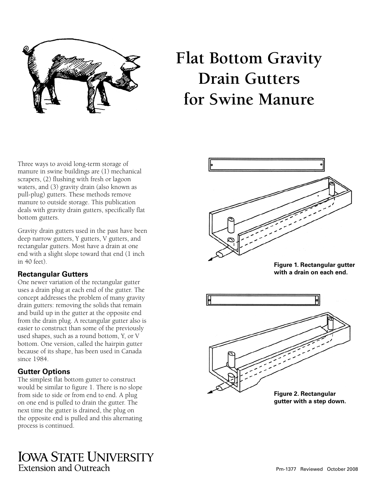

# **Flat Bottom Gravity Drain Gutters for Swine Manure**

Three ways to avoid long-term storage of manure in swine buildings are (1) mechanical scrapers, (2) flushing with fresh or lagoon waters, and (3) gravity drain (also known as pull-plug) gutters. These methods remove manure to outside storage. This publication deals with gravity drain gutters, specifically flat bottom gutters.

Gravity drain gutters used in the past have been deep narrow gutters, Y gutters, V gutters, and rectangular gutters. Most have a drain at one end with a slight slope toward that end (1 inch in 40 feet).

# **Rectangular Gutters**

One newer variation of the rectangular gutter uses a drain plug at each end of the gutter. The concept addresses the problem of many gravity drain gutters: removing the solids that remain and build up in the gutter at the opposite end from the drain plug. A rectangular gutter also is easier to construct than some of the previously used shapes, such as a round bottom, Y, or V bottom. One version, called the hairpin gutter because of its shape, has been used in Canada since 1984.

# **Gutter Options**

The simplest flat bottom gutter to construct would be similar to figure 1. There is no slope from side to side or from end to end. A plug on one end is pulled to drain the gutter. The next time the gutter is drained, the plug on the opposite end is pulled and this alternating process is continued.



**Figure 1. Rectangular gutter with a drain on each end.**



**gutter with a step down.**

**IOWA STATE UNIVERSITY** Extension and Outreach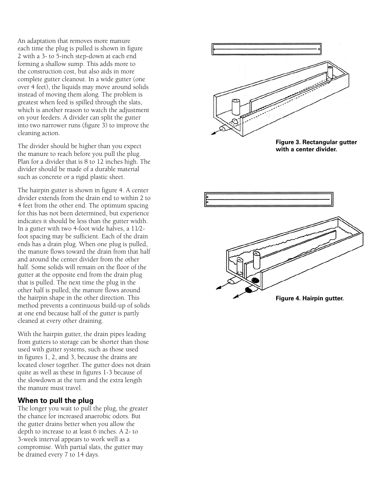An adaptation that removes more manure each time the plug is pulled is shown in figure 2 with a 3- to 5-inch step-down at each end forming a shallow sump. This adds more to the construction cost, but also aids in more complete gutter cleanout. In a wide gutter (one over 4 feet), the liquids may move around solids instead of moving them along. The problem is greatest when feed is spilled through the slats, which is another reason to watch the adjustment on your feeders. A divider can split the gutter into two narrower runs (figure 3) to improve the cleaning action.

The divider should be higher than you expect the manure to reach before you pull the plug. Plan for a divider that is 8 to 12 inches high. The divider should be made of a durable material such as concrete or a rigid plastic sheet.

The hairpin gutter is shown in figure 4. A center divider extends from the drain end to within 2 to 4 feet from the other end. The optimum spacing for this has not been determined, but experience indicates it should be less than the gutter width. In a gutter with two 4-foot wide halves, a 11⁄2 foot spacing may be sufficient. Each of the drain ends has a drain plug. When one plug is pulled, the manure flows toward the drain from that half and around the center divider from the other half. Some solids will remain on the floor of the gutter at the opposite end from the drain plug that is pulled. The next time the plug in the other half is pulled, the manure flows around the hairpin shape in the other direction. This method prevents a continuous build-up of solids at one end because half of the gutter is partly cleaned at every other draining.

With the hairpin gutter, the drain pipes leading from gutters to storage can be shorter than those used with gutter systems, such as those used in figures  $\tilde{1}$ , 2, and 3, because the drains are located closer together. The gutter does not drain quite as well as these in figures 1-3 because of the slowdown at the turn and the extra length the manure must travel.

#### **When to pull the plug**

The longer you wait to pull the plug, the greater the chance for increased anaerobic odors. But the gutter drains better when you allow the depth to increase to at least 6 inches. A 2- to 3-week interval appears to work well as a compromise. With partial slats, the gutter may be drained every 7 to 14 days.



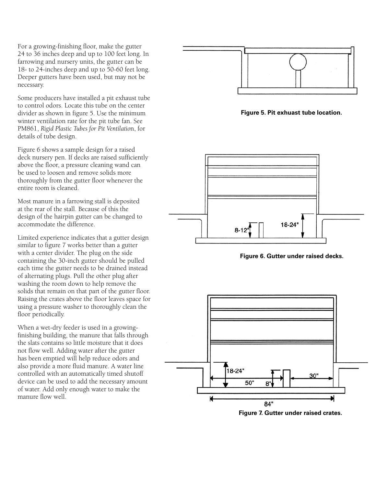For a growing-finishing floor, make the gutter 24 to 36 inches deep and up to 100 feet long. In farrowing and nursery units, the gutter can be 18- to 24-inches deep and up to 50-60 feet long. Deeper gutters have been used, but may not be necessary.

Some producers have installed a pit exhaust tube to control odors. Locate this tube on the center divider as shown in figure 5. Use the minimum winter ventilation rate for the pit tube fan. See PM861, *Rigid Plastic Tubes for Pit Ventilatio*n, for details of tube design.

Figure 6 shows a sample design for a raised deck nursery pen. If decks are raised sufficiently above the floor, a pressure cleaning wand can be used to loosen and remove solids more thoroughly from the gutter floor whenever the entire room is cleaned.

Most manure in a farrowing stall is deposited at the rear of the stall. Because of this the design of the hairpin gutter can be changed to accommodate the difference.

Limited experience indicates that a gutter design similar to figure 7 works better than a gutter with a center divider. The plug on the side containing the 30-inch gutter should be pulled each time the gutter needs to be drained instead of alternating plugs. Pull the other plug after washing the room down to help remove the solids that remain on that part of the gutter floor. Raising the crates above the floor leaves space for using a pressure washer to thoroughly clean the floor periodically.

When a wet-dry feeder is used in a growingfinishing building, the manure that falls through the slats contains so little moisture that it does not flow well. Adding water after the gutter has been emptied will help reduce odors and also provide a more fluid manure. A water line controlled with an automatically timed shutoff device can be used to add the necessary amount of water. Add only enough water to make the manure flow well.



**Figure 5. Pit exhuast tube location.**



**Figure 6. Gutter under raised decks.**



**Figure 7. Gutter under raised crates.**